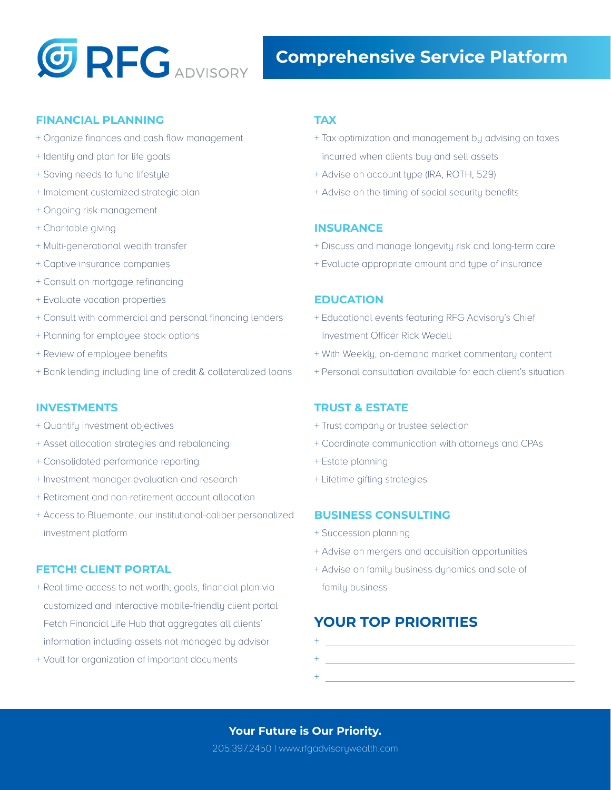

### **FINANCIAL PLANNING**

- + Organize finances and cash flow management
- + Identify and plan for life goals
- + Saving needs to fund lifestyle
- + Implement customized strategic plan
- + Ongoing risk management
- + Charitable giving
- + Multi-generational wealth transfer
- + Captive insurance companies
- + Consult on mortgage refinancing
- + Evaluate vacation properties
- + Consult with commercial and personal financing lenders
- + Planning for employee stock options
- + Review of employee benefits
- + Bank lending including line of credit & collateralized loans

### **INVESTMENTS**

- + Quantify investment objectives
- + Asset allocation strategies and rebalancing
- + Consolidated performance reporting
- + Investment manager evaluation and research
- + Retirement and non-retirement account allocation
- + Access to Bluemonte, our institutional-caliber personalized investment platform

## **FETCH! CLIENT PORTAL**

- + Real time access to net worth, goals, financial plan via customized and interactive mobile-friendly client portal Fetch Financial Life Hub that aggregates all clients' information including assets not managed by advisor
- + Vault for organization of important documents

## **TAX**

- + Tax optimization and management by advising on taxes incurred when clients buy and sell assets
- + Advise on account type (IRA, ROTH, 529)
- + Advise on the timing of social security benefits

## **INSURANCE**

- + Discuss and manage longevity risk and long-term care
- + Evaluate appropriate amount and type of insurance

### **EDUCATION**

- + Educational events featuring RFG Advisory's Chief Investment Officer Rick Wedell
- + With Weekly, on-demand market commentary content
- + Personal consultation available for each client's situation

## **TRUST & ESTATE**

- + Trust company or trustee selection
- + Coordinate communication with attorneys and CPAs
- + Estate planning
- + Lifetime gifting strategies

## **BUSINESS CONSULTING**

- + Succession planning
- + Advise on mergers and acquisition opportunities
- + Advise on family business dynamics and sale of family business

## **YOUR TOP PRIORITIES**

+ + +